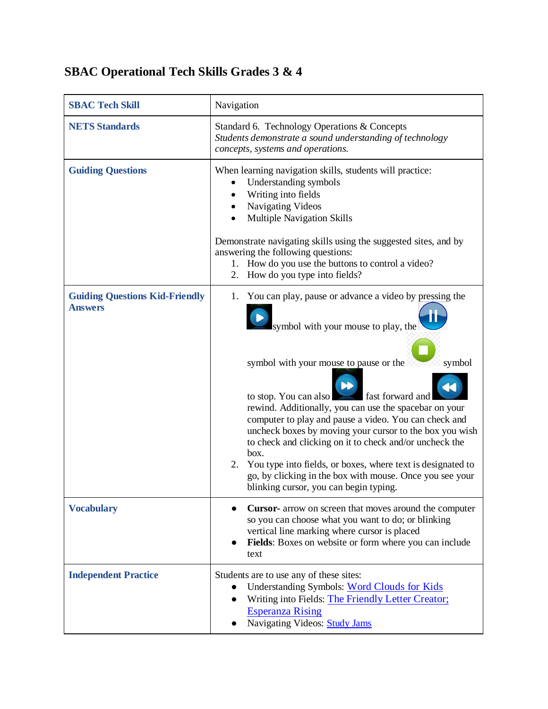## **SBAC Operational Tech Skills Grades 3 & 4**

| <b>SBAC Tech Skill</b>                                  | Navigation                                                                                                                                                                                                                                                                                                                                                                                                                                                                                                                                                                                                                       |
|---------------------------------------------------------|----------------------------------------------------------------------------------------------------------------------------------------------------------------------------------------------------------------------------------------------------------------------------------------------------------------------------------------------------------------------------------------------------------------------------------------------------------------------------------------------------------------------------------------------------------------------------------------------------------------------------------|
| <b>NETS Standards</b>                                   | Standard 6. Technology Operations & Concepts<br>Students demonstrate a sound understanding of technology<br>concepts, systems and operations.                                                                                                                                                                                                                                                                                                                                                                                                                                                                                    |
| <b>Guiding Questions</b>                                | When learning navigation skills, students will practice:<br>Understanding symbols<br>Writing into fields<br>Navigating Videos<br><b>Multiple Navigation Skills</b><br>Demonstrate navigating skills using the suggested sites, and by<br>answering the following questions:<br>How do you use the buttons to control a video?<br>1.<br>How do you type into fields?<br>2.                                                                                                                                                                                                                                                        |
| <b>Guiding Questions Kid-Friendly</b><br><b>Answers</b> | You can play, pause or advance a video by pressing the<br>1.<br>symbol with your mouse to play, the<br>symbol with your mouse to pause or the<br>symbol<br>fast forward and<br>to stop. You can also<br>rewind. Additionally, you can use the spacebar on your<br>computer to play and pause a video. You can check and<br>uncheck boxes by moving your cursor to the box you wish<br>to check and clicking on it to check and/or uncheck the<br>box.<br>You type into fields, or boxes, where text is designated to<br>2.<br>go, by clicking in the box with mouse. Once you see your<br>blinking cursor, you can begin typing. |
| <b>Vocabulary</b>                                       | <b>Cursor-</b> arrow on screen that moves around the computer<br>so you can choose what you want to do; or blinking<br>vertical line marking where cursor is placed<br>Fields: Boxes on website or form where you can include<br>text                                                                                                                                                                                                                                                                                                                                                                                            |
| <b>Independent Practice</b>                             | Students are to use any of these sites:<br>Understanding Symbols: Word Clouds for Kids<br>$\bullet$<br>Writing into Fields: The Friendly Letter Creator;<br>$\bullet$<br><b>Esperanza Rising</b><br>Navigating Videos: Study Jams                                                                                                                                                                                                                                                                                                                                                                                                |